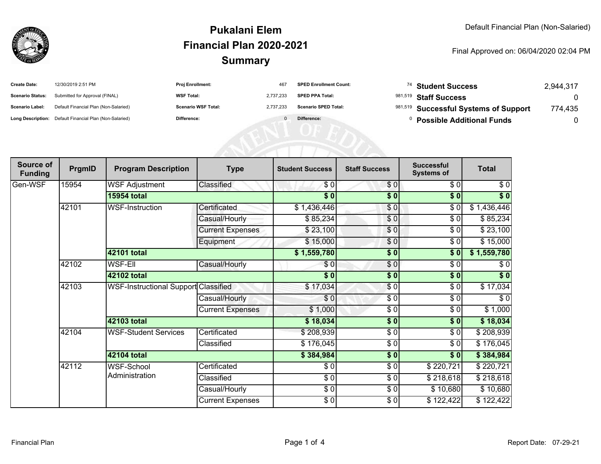

### **SummaryPukalani ElemFinancial Plan 2020-2021**

#### Final Approved on: 06/04/2020 02:04 PM

| <b>Create Date:</b>     | 12/30/2019 2:51 PM                                      | Proj Enrollment:           | 467       | <b>SPED Enrollment Count:</b> | <sup>74</sup> Student Success         | 2,944,317 |
|-------------------------|---------------------------------------------------------|----------------------------|-----------|-------------------------------|---------------------------------------|-----------|
| <b>Scenario Status:</b> | Submitted for Approval (FINAL)                          | <b>WSF Total:</b>          | 2.737.233 | <b>SPED PPA Total:</b>        | 981,519 Staff Success                 |           |
| <b>Scenario Label:</b>  | Default Financial Plan (Non-Salaried)                   | <b>Scenario WSF Total:</b> | 2,737,233 | <b>Scenario SPED Total:</b>   | 981,519 Successful Systems of Support | 774,435   |
|                         | Long Description: Default Financial Plan (Non-Salaried) | Difference:                |           | Difference:                   | <b>Possible Additional Funds</b>      |           |
|                         |                                                         |                            |           |                               |                                       |           |
|                         |                                                         |                            |           |                               |                                       |           |
|                         |                                                         |                            |           |                               |                                       |           |

| Source of<br><b>Funding</b> | PrgmID | <b>Program Description</b>           | <b>Type</b>             | <b>Student Success</b> | <b>Staff Success</b> | <b>Successful</b><br><b>Systems of</b> | <b>Total</b>      |
|-----------------------------|--------|--------------------------------------|-------------------------|------------------------|----------------------|----------------------------------------|-------------------|
| Gen-WSF                     | 15954  | <b>WSF Adjustment</b>                | Classified              | \$0                    | \$0                  | \$0                                    | \$0               |
|                             |        | <b>15954 total</b>                   |                         | $\sqrt{5}$             | \$0                  | \$0                                    | $\overline{\$}$ 0 |
|                             | 42101  | <b>WSF-Instruction</b>               | Certificated            | \$1,436,446            | $\frac{1}{\sqrt{2}}$ | $\sqrt{6}$                             | \$1,436,446       |
|                             |        |                                      | Casual/Hourly           | \$85,234               | \$0                  | \$0                                    | \$85,234          |
|                             |        |                                      | <b>Current Expenses</b> | \$23,100               | \$0                  | $\frac{1}{\sqrt{2}}$                   | \$23,100          |
|                             |        |                                      | Equipment               | \$15,000               | \$0                  | \$0                                    | \$15,000          |
|                             |        | 42101 total                          |                         | \$1,559,780            | \$0                  | \$0                                    | \$1,559,780       |
|                             | 42102  | <b>WSF-EII</b>                       | Casual/Hourly           | \$0                    | \$0                  | \$0                                    | \$0               |
|                             |        | 42102 total                          |                         | $\overline{\bullet}$   | $\frac{1}{6}$        | \$0                                    | $\sqrt[6]{}$      |
|                             | 42103  | WSF-Instructional Support Classified |                         | \$17,034               | $\frac{6}{3}$        | \$0                                    | \$17,034          |
|                             |        |                                      | Casual/Hourly           | \$0                    | \$0                  | \$0                                    | \$0               |
|                             |        |                                      | <b>Current Expenses</b> | \$1,000                | \$0                  | \$0                                    | \$1,000           |
|                             |        | 42103 total                          |                         | \$18,034               | $\frac{1}{2}$        | \$0                                    | \$18,034          |
|                             | 42104  | <b>WSF-Student Services</b>          | Certificated            | \$208,939              | \$0                  | \$0                                    | \$208,939         |
|                             |        |                                      | Classified              | \$176,045              | \$0                  | \$0                                    | \$176,045         |
|                             |        | <b>42104 total</b>                   |                         | \$384,984              | $\frac{1}{2}$        | \$0                                    | \$384,984         |
|                             | 42112  | <b>WSF-School</b><br>Administration  | Certificated            | \$0                    | \$0                  | \$220,721                              | \$220,721         |
|                             |        |                                      | Classified              | \$0                    | \$0                  | \$218,618                              | \$218,618         |
|                             |        |                                      | Casual/Hourly           | \$0                    | \$0                  | \$10,680                               | \$10,680          |
|                             |        |                                      | <b>Current Expenses</b> | \$0                    | \$0                  | \$122,422                              | \$122,422         |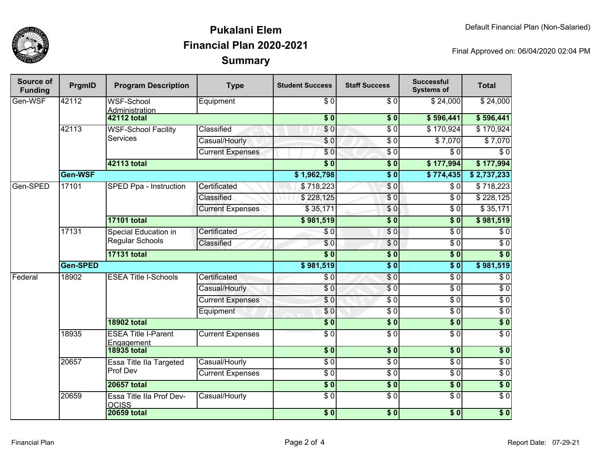

### **SummaryPukalani ElemFinancial Plan 2020-2021**

Final Approved on: 06/04/2020 02:04 PM

| Source of<br><b>Funding</b> | PrgmID   | <b>Program Description</b>                            | <b>Type</b>             | <b>Student Success</b>   | <b>Staff Success</b>     | <b>Successful</b><br><b>Systems of</b> | <b>Total</b>     |
|-----------------------------|----------|-------------------------------------------------------|-------------------------|--------------------------|--------------------------|----------------------------------------|------------------|
| Gen-WSF                     | 42112    | <b>WSF-School</b><br>Administration                   | Equipment               | $\overline{S}$           | $\overline{\frac{1}{6}}$ | \$24,000                               | \$24,000         |
|                             |          | <b>42112 total</b>                                    |                         | $\overline{\textbf{50}}$ | \$0                      | \$596,441                              | \$596,441        |
|                             | 42113    | <b>WSF-School Facility</b><br><b>Services</b>         | Classified              | $\overline{\$}0$         | $\overline{\$0}$         | \$170,924                              | \$170,924        |
|                             |          |                                                       | Casual/Hourly           | \$0                      | $\overline{\$0}$         | \$7,070                                | \$7,070          |
|                             |          |                                                       | <b>Current Expenses</b> | $\overline{\$0}$         | $\overline{\$0}$         | $\overline{\$0}$                       | $\overline{\$0}$ |
|                             |          | 42113 total                                           |                         | s <sub>0</sub>           | $\overline{\phantom{a}}$ | \$177,994                              | \$177,994        |
|                             | Gen-WSF  |                                                       |                         | \$1,962,798              | $\overline{\$0}$         | \$774,435                              | \$2,737,233      |
| Gen-SPED                    | 17101    | SPED Ppa - Instruction                                | Certificated            | \$718,223                | $\sqrt{6}$               | \$0                                    | \$718,223        |
|                             |          |                                                       | Classified              | \$228,125                | $\overline{\$0}$         | $\overline{\$0}$                       | \$228,125        |
|                             |          |                                                       | <b>Current Expenses</b> | \$35,171                 | \$0                      | $\overline{\$0}$                       | \$35,171         |
|                             |          | <b>17101 total</b>                                    |                         | \$981,519                | $\overline{\$0}$         | s <sub>0</sub>                         | \$981,519        |
|                             | 17131    | <b>Special Education in</b><br><b>Regular Schools</b> | Certificated            | $\sqrt{6}$               | $\overline{\$0}$         | $\overline{\$0}$                       | $\overline{\$0}$ |
|                             |          |                                                       | Classified              | \$0                      | $\overline{\$0}$         | $\overline{\$0}$                       | $\overline{\$0}$ |
|                             |          | <b>17131 total</b>                                    |                         | $\overline{\bullet}$     | $\overline{\$0}$         | s <sub>0</sub>                         | $\overline{\$0}$ |
|                             | Gen-SPED |                                                       |                         | \$981,519                | $\sqrt{6}$               | $\overline{\$0}$                       | \$981,519        |
| Federal                     | 18902    | <b>ESEA Title I-Schools</b>                           | Certificated            | \$0                      | $\overline{\$0}$         | $\overline{\$0}$                       | $\overline{\$0}$ |
|                             |          |                                                       | Casual/Hourly           | \$0                      | $\overline{\$0}$         | $\overline{\$0}$                       | $\overline{\$0}$ |
|                             |          |                                                       | <b>Current Expenses</b> | \$0                      | $\overline{\$0}$         | $\overline{\$0}$                       | $\overline{\$0}$ |
|                             |          |                                                       | Equipment               | \$0                      | $\overline{\$0}$         | $\overline{\$0}$                       | $\overline{60}$  |
|                             |          | <b>18902 total</b>                                    |                         | $\frac{1}{2}$            | \$0                      | 30                                     | $\overline{\$0}$ |
|                             | 18935    | <b>ESEA Title I-Parent</b><br>Engagement              | <b>Current Expenses</b> | $\overline{\$0}$         | $\overline{\$0}$         | $\overline{\$0}$                       | $\overline{\$0}$ |
|                             |          | <b>18935 total</b>                                    |                         | $\overline{\$0}$         | $\overline{\$0}$         | $\overline{\$0}$                       | $\overline{\$0}$ |
|                             | 20657    | Essa Title IIa Targeted                               | Casual/Hourly           | \$0                      | $\sqrt{6}$               | $\sqrt{6}$                             | $\sqrt{6}$       |
|                             |          | Prof Dev                                              | <b>Current Expenses</b> | \$0                      | $\sqrt{6}$               | $\sqrt{6}$                             | $\sqrt{6}$       |
|                             |          | <b>20657 total</b>                                    |                         | \$0                      | $\overline{\$0}$         | \$0                                    | $\overline{\$0}$ |
|                             | 20659    | Essa Title IIa Prof Dev-<br><b>OCISS</b>              | Casual/Hourly           | \$0                      | $\overline{\$0}$         | $\sqrt{6}$                             | $\sqrt{6}$       |
|                             |          | <b>20659 total</b>                                    |                         | $\overline{\$0}$         | $\overline{\$0}$         | $\overline{\$0}$                       | $\overline{\$0}$ |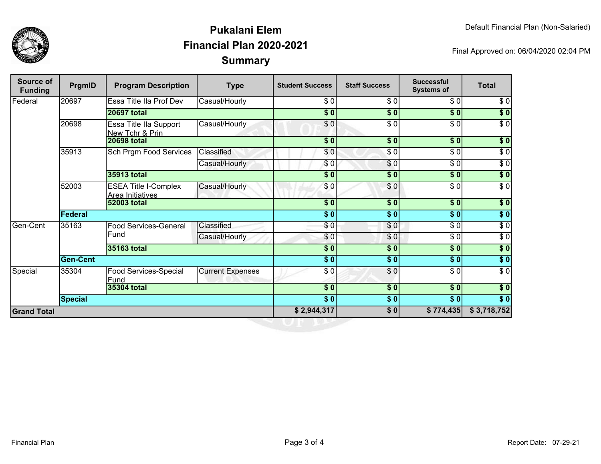

## **SummaryPukalani ElemFinancial Plan 2020-2021**

Final Approved on: 06/04/2020 02:04 PM

| Source of<br><b>Funding</b> | PrgmID          | <b>Program Description</b>                      | <b>Type</b>             | <b>Student Success</b> | <b>Staff Success</b> | <b>Successful</b><br><b>Systems of</b> | <b>Total</b>     |
|-----------------------------|-----------------|-------------------------------------------------|-------------------------|------------------------|----------------------|----------------------------------------|------------------|
| Federal                     | 20697           | Essa Title IIa Prof Dev                         | Casual/Hourly           | \$0]                   | \$0                  | \$0                                    | \$0              |
|                             |                 | <b>20697 total</b>                              |                         | \$0                    | \$0                  | $\overline{\$0}$                       | $\sqrt{50}$      |
|                             | 20698           | Essa Title IIa Support<br>New Tchr & Prin       | Casual/Hourly           | $\overline{\$0}$       | $\overline{\$0}$     | $\sqrt{6}$                             | $\sqrt{6}$       |
|                             |                 | <b>20698 total</b>                              |                         | $s$ <sub>0</sub>       | \$0                  | \$0                                    | $\overline{\$}0$ |
|                             | 35913           | Sch Prgm Food Services                          | Classified              | \$0                    | $\overline{\$0}$     | $\overline{\$0}$                       | $\overline{\$0}$ |
|                             |                 |                                                 | Casual/Hourly           | \$0                    | \$0                  | $\sqrt{50}$                            | $\overline{\$0}$ |
|                             |                 | 35913 total                                     |                         | \$0                    | \$0                  | \$0                                    | \$0              |
|                             | 52003           | <b>ESEA Title I-Complex</b><br>Area Initiatives | Casual/Hourly           | \$0                    | \$0                  | $\overline{\$0}$                       | $\overline{\$0}$ |
|                             |                 | <b>52003 total</b>                              |                         | \$0                    | \$0                  | \$0                                    | \$0              |
|                             | <b>Federal</b>  |                                                 |                         | $\frac{1}{6}$          | \$0                  | $\sqrt{6}$                             | $\sqrt{6}$       |
| Gen-Cent                    | 35163           | <b>Food Services-General</b><br>Fund            | Classified              | $\sqrt{3}$             | $\frac{1}{\sqrt{2}}$ | $\sqrt{3}$                             | $\sqrt{6}$       |
|                             |                 |                                                 | Casual/Hourly           | \$0                    | \$0                  | \$0                                    | $\sqrt{6}$       |
|                             |                 | 35163 total                                     |                         | \$0]                   | $\frac{1}{2}$        | $\frac{1}{2}$                          | \$0              |
|                             | <b>Gen-Cent</b> |                                                 |                         | $\frac{1}{6}$          | $\sqrt{6}$           | \$0                                    | $\sqrt{50}$      |
| Special                     | 35304           | Food Services-Special<br>Fund                   | <b>Current Expenses</b> | $\sqrt{3}$             | $\frac{6}{6}$        | $\sqrt{3}$                             | $\sqrt{6}$       |
|                             |                 | 35304 total                                     |                         | $s$ <sub>0</sub>       | $\overline{\$0}$     | 30                                     | $\sqrt{50}$      |
|                             | <b>Special</b>  |                                                 |                         | $\overline{\$0}$       | \$0                  | $\overline{\$0}$                       | $\overline{\$}0$ |
| <b>Grand Total</b>          |                 |                                                 |                         | \$2,944,317            | $\sqrt{50}$          | \$774,435                              | \$3,718,752      |